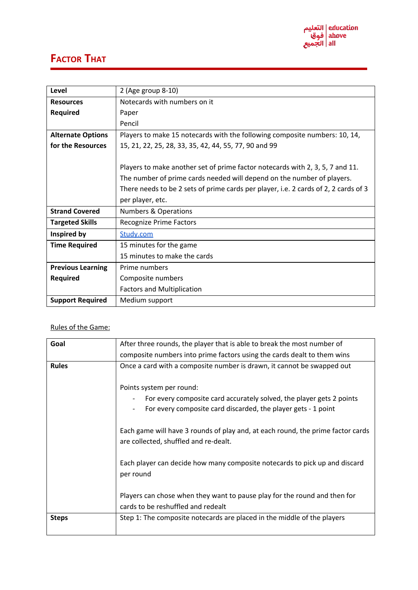

## **FACTOR THAT**

| Level                    | 2 (Age group 8-10)                                                                  |
|--------------------------|-------------------------------------------------------------------------------------|
| <b>Resources</b>         | Notecards with numbers on it                                                        |
| <b>Required</b>          | Paper                                                                               |
|                          | Pencil                                                                              |
| <b>Alternate Options</b> | Players to make 15 notecards with the following composite numbers: 10, 14,          |
| for the Resources        | 15, 21, 22, 25, 28, 33, 35, 42, 44, 55, 77, 90 and 99                               |
|                          |                                                                                     |
|                          | Players to make another set of prime factor notecards with 2, 3, 5, 7 and 11.       |
|                          | The number of prime cards needed will depend on the number of players.              |
|                          | There needs to be 2 sets of prime cards per player, i.e. 2 cards of 2, 2 cards of 3 |
|                          | per player, etc.                                                                    |
| <b>Strand Covered</b>    | <b>Numbers &amp; Operations</b>                                                     |
| <b>Targeted Skills</b>   | <b>Recognize Prime Factors</b>                                                      |
| Inspired by              | Study.com                                                                           |
| <b>Time Required</b>     | 15 minutes for the game                                                             |
|                          | 15 minutes to make the cards                                                        |
| <b>Previous Learning</b> | Prime numbers                                                                       |
| <b>Required</b>          | Composite numbers                                                                   |
|                          | <b>Factors and Multiplication</b>                                                   |
| <b>Support Required</b>  | Medium support                                                                      |

## Rules of the Game:

| Goal         | After three rounds, the player that is able to break the most number of                                                                                                                                                                                                                       |
|--------------|-----------------------------------------------------------------------------------------------------------------------------------------------------------------------------------------------------------------------------------------------------------------------------------------------|
|              | composite numbers into prime factors using the cards dealt to them wins                                                                                                                                                                                                                       |
| <b>Rules</b> | Once a card with a composite number is drawn, it cannot be swapped out                                                                                                                                                                                                                        |
|              | Points system per round:<br>For every composite card accurately solved, the player gets 2 points<br>For every composite card discarded, the player gets - 1 point<br>Each game will have 3 rounds of play and, at each round, the prime factor cards<br>are collected, shuffled and re-dealt. |
|              | Each player can decide how many composite notecards to pick up and discard<br>per round                                                                                                                                                                                                       |
|              | Players can chose when they want to pause play for the round and then for<br>cards to be reshuffled and redealt                                                                                                                                                                               |
| <b>Steps</b> | Step 1: The composite notecards are placed in the middle of the players                                                                                                                                                                                                                       |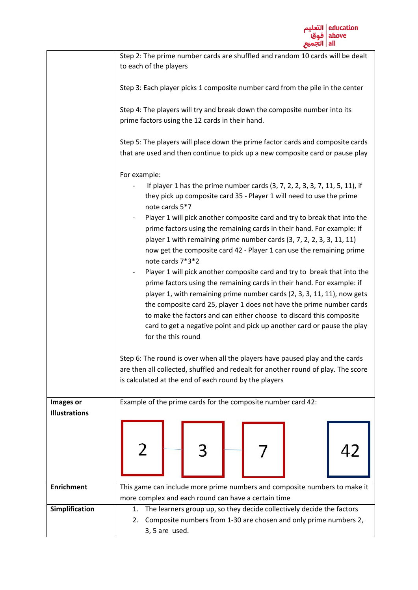|                      | Step 2: The prime number cards are shuffled and random 10 cards will be dealt                                                                                         |
|----------------------|-----------------------------------------------------------------------------------------------------------------------------------------------------------------------|
|                      | to each of the players                                                                                                                                                |
|                      |                                                                                                                                                                       |
|                      | Step 3: Each player picks 1 composite number card from the pile in the center                                                                                         |
|                      | Step 4: The players will try and break down the composite number into its<br>prime factors using the 12 cards in their hand.                                          |
|                      | Step 5: The players will place down the prime factor cards and composite cards<br>that are used and then continue to pick up a new composite card or pause play       |
|                      |                                                                                                                                                                       |
|                      | For example:                                                                                                                                                          |
|                      | If player 1 has the prime number cards (3, 7, 2, 2, 3, 3, 7, 11, 5, 11), if<br>they pick up composite card 35 - Player 1 will need to use the prime<br>note cards 5*7 |
|                      | Player 1 will pick another composite card and try to break that into the<br>prime factors using the remaining cards in their hand. For example: if                    |
|                      | player 1 with remaining prime number cards (3, 7, 2, 2, 3, 3, 11, 11)<br>now get the composite card 42 - Player 1 can use the remaining prime                         |
|                      | note cards 7*3*2<br>Player 1 will pick another composite card and try to break that into the<br>$\overline{\phantom{a}}$                                              |
|                      | prime factors using the remaining cards in their hand. For example: if                                                                                                |
|                      | player 1, with remaining prime number cards (2, 3, 3, 11, 11), now gets                                                                                               |
|                      | the composite card 25, player 1 does not have the prime number cards                                                                                                  |
|                      | to make the factors and can either choose to discard this composite                                                                                                   |
|                      | card to get a negative point and pick up another card or pause the play                                                                                               |
|                      | for the this round                                                                                                                                                    |
|                      |                                                                                                                                                                       |
|                      | Step 6: The round is over when all the players have paused play and the cards                                                                                         |
|                      | are then all collected, shuffled and redealt for another round of play. The score                                                                                     |
|                      | is calculated at the end of each round by the players                                                                                                                 |
|                      |                                                                                                                                                                       |
| Images or            | Example of the prime cards for the composite number card 42:                                                                                                          |
| <b>Illustrations</b> |                                                                                                                                                                       |
|                      |                                                                                                                                                                       |
|                      |                                                                                                                                                                       |
| <b>Enrichment</b>    | This game can include more prime numbers and composite numbers to make it                                                                                             |
|                      | more complex and each round can have a certain time                                                                                                                   |
| Simplification       | The learners group up, so they decide collectively decide the factors<br>1.                                                                                           |
|                      | Composite numbers from 1-30 are chosen and only prime numbers 2,<br>2.                                                                                                |
|                      | 3, 5 are used.                                                                                                                                                        |